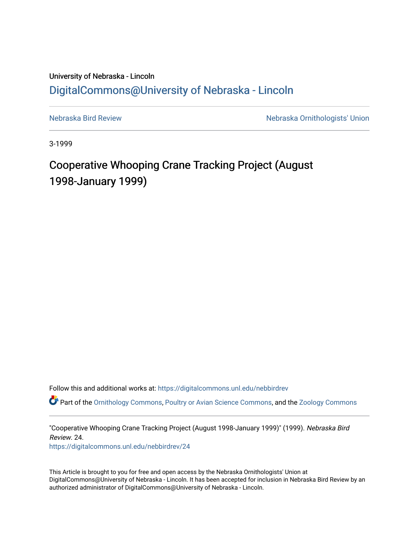## University of Nebraska - Lincoln [DigitalCommons@University of Nebraska - Lincoln](https://digitalcommons.unl.edu/)

[Nebraska Bird Review](https://digitalcommons.unl.edu/nebbirdrev) [Nebraska Ornithologists' Union](https://digitalcommons.unl.edu/nebornithologists) 

3-1999

## Cooperative Whooping Crane Tracking Project (August 1998-January 1999)

Follow this and additional works at: [https://digitalcommons.unl.edu/nebbirdrev](https://digitalcommons.unl.edu/nebbirdrev?utm_source=digitalcommons.unl.edu%2Fnebbirdrev%2F24&utm_medium=PDF&utm_campaign=PDFCoverPages)

Part of the [Ornithology Commons,](http://network.bepress.com/hgg/discipline/1190?utm_source=digitalcommons.unl.edu%2Fnebbirdrev%2F24&utm_medium=PDF&utm_campaign=PDFCoverPages) [Poultry or Avian Science Commons](http://network.bepress.com/hgg/discipline/80?utm_source=digitalcommons.unl.edu%2Fnebbirdrev%2F24&utm_medium=PDF&utm_campaign=PDFCoverPages), and the [Zoology Commons](http://network.bepress.com/hgg/discipline/81?utm_source=digitalcommons.unl.edu%2Fnebbirdrev%2F24&utm_medium=PDF&utm_campaign=PDFCoverPages) 

"Cooperative Whooping Crane Tracking Project (August 1998-January 1999)" (1999). Nebraska Bird Review. 24.

[https://digitalcommons.unl.edu/nebbirdrev/24](https://digitalcommons.unl.edu/nebbirdrev/24?utm_source=digitalcommons.unl.edu%2Fnebbirdrev%2F24&utm_medium=PDF&utm_campaign=PDFCoverPages) 

This Article is brought to you for free and open access by the Nebraska Ornithologists' Union at DigitalCommons@University of Nebraska - Lincoln. It has been accepted for inclusion in Nebraska Bird Review by an authorized administrator of DigitalCommons@University of Nebraska - Lincoln.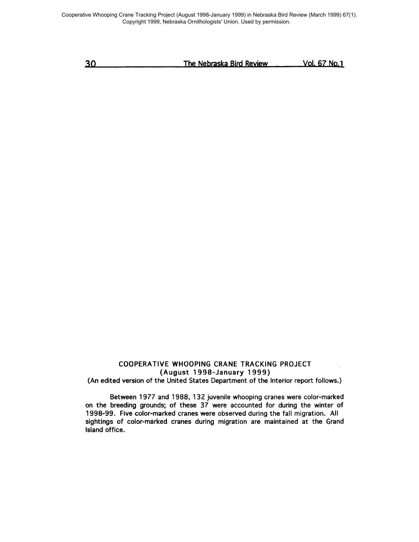Cooperative Whooping Crane Tracking Project (August 1998-January 1999) in Nebraska Bird Review (March 1999) 67(1). Copyright 1999, Nebraska Ornithologists' Union. Used by permission.

| 30 | The Nebraska Bird Review | Vol. 67 No.1 |
|----|--------------------------|--------------|
|    |                          |              |

## COOPERATIVE WHOOPING CRANE TRACKING PROJECT (August 1998-January 1999)

(An edited version of the United States Department of the Interior report follows.)

Between 1977 and 1988, 132 juvenile whooping cranes were color-marked on the breeding grounds; of these 37 were accounted for during the winter of 1998-99. Five color-marked cranes were observed during the fall migration. All sightings of color-marked cranes during migration are maintained at the Grand Island office.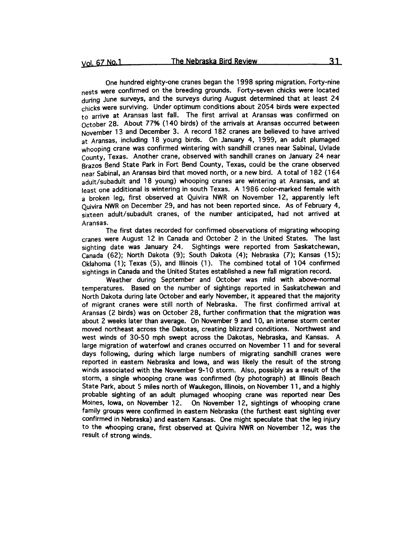One hundred eighty-one cranes began the 1998 spring migration. Forty-nine nests were confirmed on the breeding grounds. Forty-seven chicks were located during June surveys, and the surveys during August determined that at least 24 chicks were surviving. Under optimum conditions about 2054 birds were expected to arrive at Aransas last fall. The first arrival at Aransas was confirmed on October 28. About 77% (140 birds) of the arrivals at Aransas occurred between November 13 and December 3. A record 182 cranes are believed to have arrived at Aransas, including 18 young birds. On January 4, 1999, an adult plumaged whooping crane was confirmed wintering with sandhill cranes near Sabinal, Uvlade County, Texas. Another crane, observed with sandhill cranes on January 24 near Brazos Bend State Park in Fort Bend County, Texas, could be the crane observed near Sabinal, an Aransas bird that moved north, or a new bird. A total of 182 (164 adult/subadult and 18 young) whooping cranes are wintering at Aransas, and at least one additional is wintering in south Texas. A 1986 color-marked female with a broken leg, first observed at Quivira NWR on November 12, apparently left Quivira NWR on December 29, and has not been reported since. As of February 4, sixteen adult/subadult cranes, of the number anticipated, had not arrived at Aransas.

The first dates recorded for confirmed observations of migrating whooping cranes were August 12 in Canada and October 2 in the United States. The last sighting date was January 24. Sightings were reported from Saskatchewan, Canada (62); North Dakota (9); South Dakota (4); Nebraska (7); Kansas (15); Oklahoma (1); Texas (5), and Illinois (1). The combined total of 104 confirmed sightings in Canada and the United States established a new fall migration record.

Weather during September and October was mild with above-normal temperatures. Based on the number of sightings reported in Saskatchewan and North Dakota during late October and early November, it appeared that the majority of migrant cranes were still north of Nebraska. The first confirmed arrival at Aransas (2 birds) was on October 28, further confirmation that the migration was about 2 weeks later than average. On November 9 and 10, an intense storm center moved northeast across the Dakotas, creating blizzard conditions. "'Northwest and west winds of 30-50 mph swept across the Dakotas, Nebraska, and Kansas. A large migration of waterfowl and cranes occurred on November 11 and for several days following, during which large numbers of migrating sandhill cranes were reported in eastern Nebraska and Iowa, and was likely the result of the strong winds associated with the November 9-10 storm. Also, possibly as a result of the storm, a single whooping crane was confirmed (by photograph) at Illinois Beach State Park, about 5 miles north of Waukegon, Illinois, on November 11, and a highly probable sighting of an adult plumaged whooping crane was reported near Des Moines, Iowa, on November 12. On November 12, sightings of whooping crane family groups were confirmed in eastern Nebraska (the furthest east sighting ever confirmed in Nebraska) and eastern Kansas. One might speculate that the leg injury to the whooping crane, first observed at Quivira NWR on November 12, was the result of strong winds.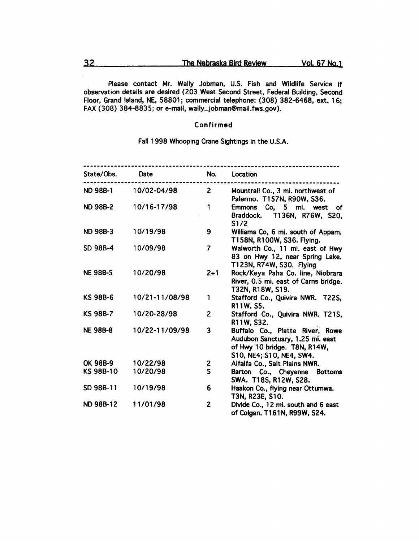Please contact Mr. Wally Jobman, U.S. Fish and Wildlife Service if observation details are desired (203 West Second Street, Federal Building, Second Floor, Grand Island, NE, 58801; commercial telephone: (308) 382-6468, ext. 16; FAX (308) 384-8835; or e-mail, wally\_jobman@mail.fws.gov).

## Confirmed

Fall 1998 Whooping Crane Sightings in the U.S.A.

| State/Obs.       | Date           | No.            | Location                                                                                                                        |
|------------------|----------------|----------------|---------------------------------------------------------------------------------------------------------------------------------|
| <b>ND 98B-1</b>  | 10/02-04/98    | $\overline{2}$ | Mountrail Co., 3 mi. northwest of<br>Palermo. T157N, R90W, S36.                                                                 |
| <b>ND 98B-2</b>  | 10/16-17/98    | 1              | Emmons Co, 5 mi. west of<br>Braddock. T136N, R76W, S20,<br>S1/2                                                                 |
| <b>ND 98B-3</b>  | 10/19/98       | 9              | Williams Co, 6 mi. south of Appam.<br>T158N, R100W, S36. Flying.                                                                |
| SD 98B-4         | 10/09/98       | $\overline{7}$ | Walworth Co., 11 mi. east of Hwy<br>83 on Hwy 12, near Spring Lake.<br>T123N, R74W, S30. Flying                                 |
| <b>NE 98B-5</b>  | 10/20/98       | $2 + 1$        | Rock/Keya Paha Co. line, Niobrara<br>River, 0.5 mi. east of Carns bridge.<br>T32N, R18W, S19.                                   |
| KS 98B-6         | 10/21-11/08/98 | 1              | Stafford Co., Quivira NWR. T22S,<br>R11W, S5.                                                                                   |
| <b>KS 98B-7</b>  | 10/20-28/98    | $\overline{2}$ | Stafford Co., Quivira NWR. T21S,<br>R11W, S32.                                                                                  |
| <b>NE 98B-8</b>  | 10/22-11/09/98 | 3              | Buffalo Co., Platte River, Rowe<br>Audubon Sanctuary, 1.25 mi. east<br>of Hwy 10 bridge. T8N, R14W,<br>S10, NE4; S10, NE4, SW4. |
| OK 98B-9         | 10/22/98       | 2              | Alfalfa Co., Salt Plains NWR.                                                                                                   |
| KS 98B-10        | 10/20/98       | 5              | Barton Co., Cheyenne Bottoms<br>SWA. T18S, R12W, S28.                                                                           |
| SD 98B-11        | 10/19/98       | 6              | Haakon Co., flying near Ottumwa.<br>T3N, R23E, S10.                                                                             |
| <b>ND 98B-12</b> | 11/01/98       | 2              | Divide Co., 12 mi. south and 6 east<br>of Colgan. T161N, R99W, S24.                                                             |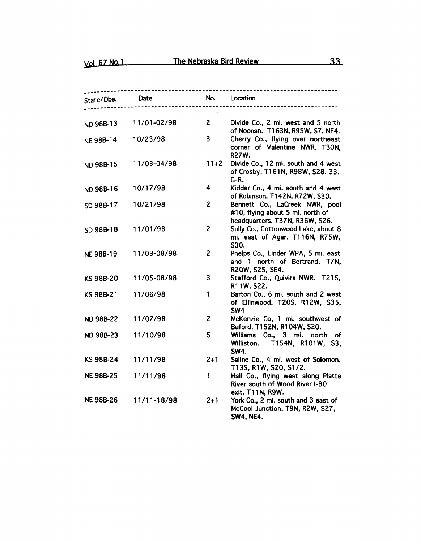| State/Obs.       | Date        | No.            | Location                                                                                             |
|------------------|-------------|----------------|------------------------------------------------------------------------------------------------------|
|                  |             |                |                                                                                                      |
| ND 98B-13        | 11/01-02/98 | $\mathbf{2}$   | Divide Co., 2 mi. west and 5 north<br>of Noonan. T163N, R95W, S7, NE4.                               |
| <b>NE 98B-14</b> | 10/23/98    | 3              | Cherry Co., flying over northeast<br>corner of Valentine NWR. T30N,<br><b>R27W.</b>                  |
| ND 98B-15        | 11/03-04/98 | $11+2$         | Divide Co., 12 mi. south and 4 west<br>of Crosby. T161N, R98W, S28, 33.<br>$G-R.$                    |
| ND 98B-16        | 10/17/98    | 4              | Kidder Co., 4 mi. south and 4 west<br>of Robinson. T142N, R72W, S30.                                 |
| SD 98B-17        | 10/21/98    | $\overline{c}$ | Bennett Co., LaCreek NWR, pool<br>#10, flying about 5 mi. north of<br>headquarters. T37N, R36W, S26. |
| SD 98B-18        | 11/01/98    | $\overline{c}$ | Sully Co., Cottonwood Lake, about 8<br>mi. east of Agar. T116N, R75W,<br>S30.                        |
| <b>NE 98B-19</b> | 11/03-08/98 | $\overline{c}$ | Phelps Co., Linder WPA, 5 mi. east<br>and 1 north of Bertrand. T7N,<br>R20W, S25, SE4.               |
| KS 98B-20        | 11/05-08/98 | 3              | Stafford Co., Quivira NWR. T21S,<br>R11W, S22.                                                       |
| KS 98B-21        | 11/06/98    | 1              | Barton Co., 6 mi. south and 2 west<br>of Ellinwood. T20S, R12W, S35,<br>SW4                          |
| <b>ND 98B-22</b> | 11/07/98    | $\overline{c}$ | McKenzie Co, 1 mi. southwest of<br>Buford. T152N, R104W, S20.                                        |
| <b>ND 98B-23</b> | 11/10/98    | 5              | Williams Co., 3 mi. north of<br>Williston. T154N, R101W, S3,<br><b>SW4.</b>                          |
| KS 98B-24        | 11/11/98    | $2 + 1$        | Saline Co., 4 mi. west of Solomon.<br>T13S, R1W, S20, S1/2.                                          |
| <b>NE 98B-25</b> | 11/11/98    | 1              | Hall Co., flying west along Platte<br>River south of Wood River I-80<br>exit. T11N, R9W.             |
| <b>NE 98B-26</b> | 11/11-18/98 | $2 + 1$        | York Co., 2 mi. south and 3 east of<br>McCool Junction. T9N, R2W, S27,<br><b>SW4, NE4.</b>           |